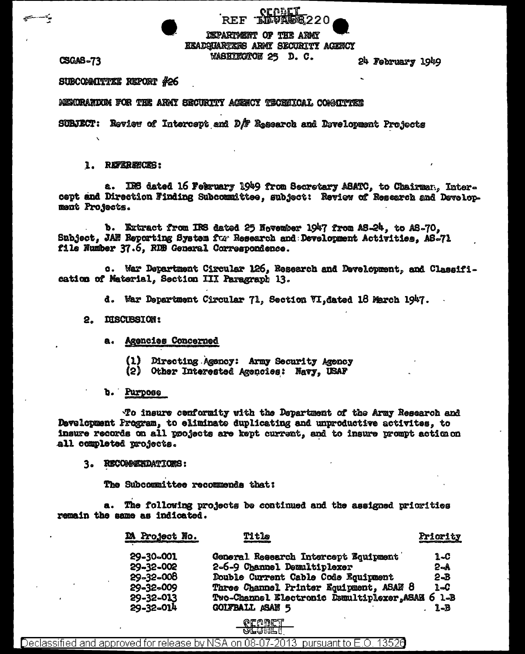DEPARTMENT OF THE ARMY **EKADQUARTERS ARMY SECURITY AGENCY WASHINGTON 25 D.C.** 

oraatt

**THRUAL** 

**CSGAS-73** 

24 February 1949

SUBCOMMITTEE REPORT #26

MEMORANDOM FOR THE ARMY SECURITY AGENCY TECHNICAL COMMITTEE

SUBJECT: Review of Intercept and  $D/F$  Rasearch and Development Projects

**REF** 

## 1. REFERENCES:

a. IRS dated 16 February 1949 from Secretary ASATC, to Chairman, Intercept and Direction Finding Subcommittee, subject: Review of Research and Development Projects.

b. Extract from IRS dated 25 November 1947 from AS-24, to AS-70, Subject, JAN Reporting System for Research and Development Activities. AS-71 file Number 37.6, RDB General Correspondence.

c. War Department Circular 126. Research and Development, and Classification of Material. Section III Paragraph 13.

d. War Department Circular 71, Section VI, dated 18 March 1947.

## 2. DISCUSSION:

- a. Agencies Concerned
	- $(1)$ Directing Agency: Army Security Agency
	- $(2)$ Other Interested Agencies: Navy, USAF
- b. Purpose

To insure conformity with the Department of the Army Research and Development Program, to eliminate duplicating and unproductive activites, to insure records on all projects are kept current, and to insure prompt action on all completed projects.

3. RECOMMENDATIONS:

The Subcommittee recommends that:

The following projects be continued and the assigned priorities a. remain the same as indicated.

| DA Project No. | <b>Title</b>                               | Priority |
|----------------|--------------------------------------------|----------|
| 29-30-001      | General Research Intercept Equipment       | 1.C      |
| 29-32-002      | 2-6-9 Channel Demultiplexer                | $2 - A$  |
| 29-32-008      | Double Current Cable Code Equipment        | $2 - B$  |
| 29-32-009      | Three Channel Printer Equipment, ASAN 8    | $1 - C$  |
| 29-32-013      | Two-Channel Electronic Demultiplexer, ASAH | $61 - B$ |
| 29-32-014      | <b>GOLFBALL ASAN 5</b>                     | 1-B      |

Declassified and approved for release by NSA on 08-07-2013 pursuant to E.O 13526